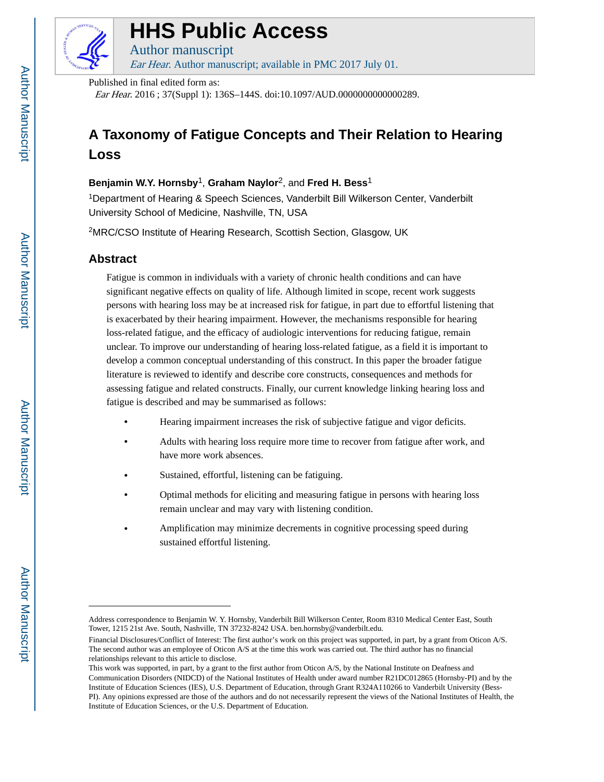

# **HHS Public Access**

Author manuscript Ear Hear. Author manuscript; available in PMC 2017 July 01.

Published in final edited form as:

Ear Hear. 2016 ; 37(Suppl 1): 136S–144S. doi:10.1097/AUD.0000000000000289.

## **A Taxonomy of Fatigue Concepts and Their Relation to Hearing Loss**

## **Benjamin W.Y. Hornsby**1, **Graham Naylor**2, and **Fred H. Bess**<sup>1</sup>

<sup>1</sup>Department of Hearing & Speech Sciences, Vanderbilt Bill Wilkerson Center, Vanderbilt University School of Medicine, Nashville, TN, USA

<sup>2</sup>MRC/CSO Institute of Hearing Research, Scottish Section, Glasgow, UK

## **Abstract**

Fatigue is common in individuals with a variety of chronic health conditions and can have significant negative effects on quality of life. Although limited in scope, recent work suggests persons with hearing loss may be at increased risk for fatigue, in part due to effortful listening that is exacerbated by their hearing impairment. However, the mechanisms responsible for hearing loss-related fatigue, and the efficacy of audiologic interventions for reducing fatigue, remain unclear. To improve our understanding of hearing loss-related fatigue, as a field it is important to develop a common conceptual understanding of this construct. In this paper the broader fatigue literature is reviewed to identify and describe core constructs, consequences and methods for assessing fatigue and related constructs. Finally, our current knowledge linking hearing loss and fatigue is described and may be summarised as follows:

- **•** Hearing impairment increases the risk of subjective fatigue and vigor deficits.
- **•** Adults with hearing loss require more time to recover from fatigue after work, and have more work absences.
- **•** Sustained, effortful, listening can be fatiguing.
- **•** Optimal methods for eliciting and measuring fatigue in persons with hearing loss remain unclear and may vary with listening condition.
- **•** Amplification may minimize decrements in cognitive processing speed during sustained effortful listening.

Address correspondence to Benjamin W. Y. Hornsby, Vanderbilt Bill Wilkerson Center, Room 8310 Medical Center East, South Tower, 1215 21st Ave. South, Nashville, TN 37232-8242 USA. ben.hornsby@vanderbilt.edu.

Financial Disclosures/Conflict of Interest: The first author's work on this project was supported, in part, by a grant from Oticon A/S. The second author was an employee of Oticon A/S at the time this work was carried out. The third author has no financial relationships relevant to this article to disclose.

This work was supported, in part, by a grant to the first author from Oticon A/S, by the National Institute on Deafness and Communication Disorders (NIDCD) of the National Institutes of Health under award number R21DC012865 (Hornsby-PI) and by the Institute of Education Sciences (IES), U.S. Department of Education, through Grant R324A110266 to Vanderbilt University (Bess-PI). Any opinions expressed are those of the authors and do not necessarily represent the views of the National Institutes of Health, the Institute of Education Sciences, or the U.S. Department of Education.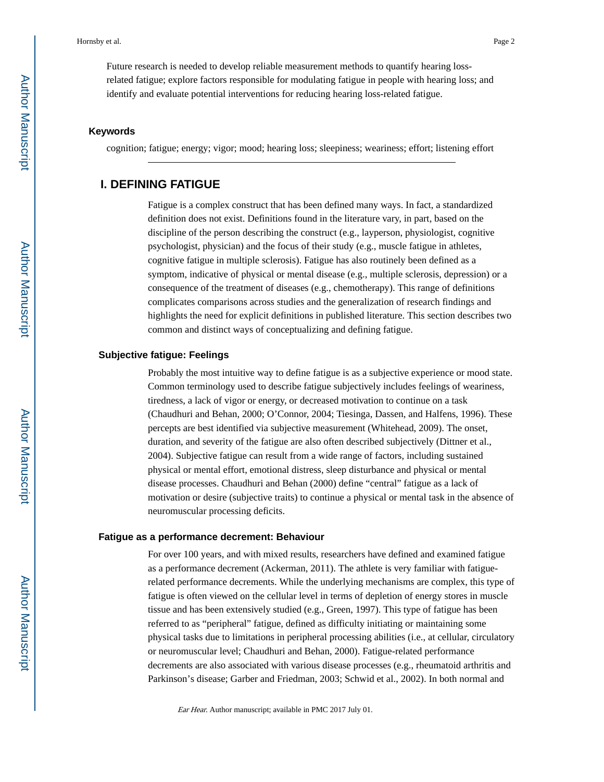Future research is needed to develop reliable measurement methods to quantify hearing lossrelated fatigue; explore factors responsible for modulating fatigue in people with hearing loss; and identify and evaluate potential interventions for reducing hearing loss-related fatigue.

#### **Keywords**

cognition; fatigue; energy; vigor; mood; hearing loss; sleepiness; weariness; effort; listening effort

## **I. DEFINING FATIGUE**

Fatigue is a complex construct that has been defined many ways. In fact, a standardized definition does not exist. Definitions found in the literature vary, in part, based on the discipline of the person describing the construct (e.g., layperson, physiologist, cognitive psychologist, physician) and the focus of their study (e.g., muscle fatigue in athletes, cognitive fatigue in multiple sclerosis). Fatigue has also routinely been defined as a symptom, indicative of physical or mental disease (e.g., multiple sclerosis, depression) or a consequence of the treatment of diseases (e.g., chemotherapy). This range of definitions complicates comparisons across studies and the generalization of research findings and highlights the need for explicit definitions in published literature. This section describes two common and distinct ways of conceptualizing and defining fatigue.

#### **Subjective fatigue: Feelings**

Probably the most intuitive way to define fatigue is as a subjective experience or mood state. Common terminology used to describe fatigue subjectively includes feelings of weariness, tiredness, a lack of vigor or energy, or decreased motivation to continue on a task (Chaudhuri and Behan, 2000; O'Connor, 2004; Tiesinga, Dassen, and Halfens, 1996). These percepts are best identified via subjective measurement (Whitehead, 2009). The onset, duration, and severity of the fatigue are also often described subjectively (Dittner et al., 2004). Subjective fatigue can result from a wide range of factors, including sustained physical or mental effort, emotional distress, sleep disturbance and physical or mental disease processes. Chaudhuri and Behan (2000) define "central" fatigue as a lack of motivation or desire (subjective traits) to continue a physical or mental task in the absence of neuromuscular processing deficits.

#### **Fatigue as a performance decrement: Behaviour**

For over 100 years, and with mixed results, researchers have defined and examined fatigue as a performance decrement (Ackerman, 2011). The athlete is very familiar with fatiguerelated performance decrements. While the underlying mechanisms are complex, this type of fatigue is often viewed on the cellular level in terms of depletion of energy stores in muscle tissue and has been extensively studied (e.g., Green, 1997). This type of fatigue has been referred to as "peripheral" fatigue, defined as difficulty initiating or maintaining some physical tasks due to limitations in peripheral processing abilities (i.e., at cellular, circulatory or neuromuscular level; Chaudhuri and Behan, 2000). Fatigue-related performance decrements are also associated with various disease processes (e.g., rheumatoid arthritis and Parkinson's disease; Garber and Friedman, 2003; Schwid et al., 2002). In both normal and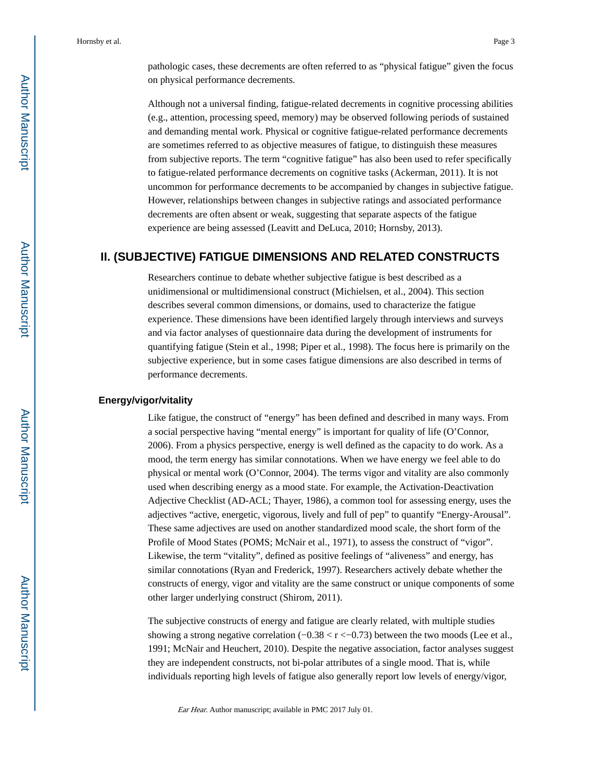pathologic cases, these decrements are often referred to as "physical fatigue" given the focus on physical performance decrements.

Although not a universal finding, fatigue-related decrements in cognitive processing abilities (e.g., attention, processing speed, memory) may be observed following periods of sustained and demanding mental work. Physical or cognitive fatigue-related performance decrements are sometimes referred to as objective measures of fatigue, to distinguish these measures from subjective reports. The term "cognitive fatigue" has also been used to refer specifically to fatigue-related performance decrements on cognitive tasks (Ackerman, 2011). It is not uncommon for performance decrements to be accompanied by changes in subjective fatigue. However, relationships between changes in subjective ratings and associated performance decrements are often absent or weak, suggesting that separate aspects of the fatigue experience are being assessed (Leavitt and DeLuca, 2010; Hornsby, 2013).

## **II. (SUBJECTIVE) FATIGUE DIMENSIONS AND RELATED CONSTRUCTS**

Researchers continue to debate whether subjective fatigue is best described as a unidimensional or multidimensional construct (Michielsen, et al., 2004). This section describes several common dimensions, or domains, used to characterize the fatigue experience. These dimensions have been identified largely through interviews and surveys and via factor analyses of questionnaire data during the development of instruments for quantifying fatigue (Stein et al., 1998; Piper et al., 1998). The focus here is primarily on the subjective experience, but in some cases fatigue dimensions are also described in terms of performance decrements.

#### **Energy/vigor/vitality**

Like fatigue, the construct of "energy" has been defined and described in many ways. From a social perspective having "mental energy" is important for quality of life (O'Connor, 2006). From a physics perspective, energy is well defined as the capacity to do work. As a mood, the term energy has similar connotations. When we have energy we feel able to do physical or mental work (O'Connor, 2004). The terms vigor and vitality are also commonly used when describing energy as a mood state. For example, the Activation-Deactivation Adjective Checklist (AD-ACL; Thayer, 1986), a common tool for assessing energy, uses the adjectives "active, energetic, vigorous, lively and full of pep" to quantify "Energy-Arousal". These same adjectives are used on another standardized mood scale, the short form of the Profile of Mood States (POMS; McNair et al., 1971), to assess the construct of "vigor". Likewise, the term "vitality", defined as positive feelings of "aliveness" and energy, has similar connotations (Ryan and Frederick, 1997). Researchers actively debate whether the constructs of energy, vigor and vitality are the same construct or unique components of some other larger underlying construct (Shirom, 2011).

The subjective constructs of energy and fatigue are clearly related, with multiple studies showing a strong negative correlation (−0.38 < r <−0.73) between the two moods (Lee et al., 1991; McNair and Heuchert, 2010). Despite the negative association, factor analyses suggest they are independent constructs, not bi-polar attributes of a single mood. That is, while individuals reporting high levels of fatigue also generally report low levels of energy/vigor,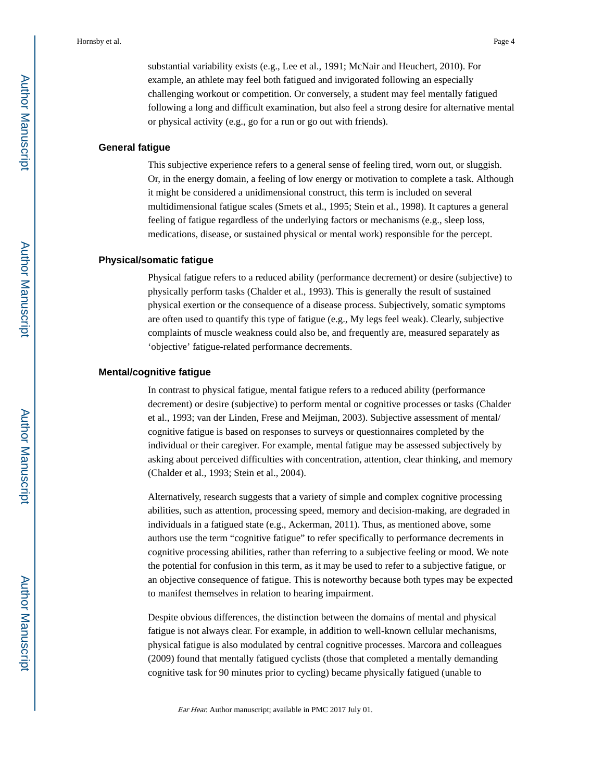substantial variability exists (e.g., Lee et al., 1991; McNair and Heuchert, 2010). For example, an athlete may feel both fatigued and invigorated following an especially challenging workout or competition. Or conversely, a student may feel mentally fatigued following a long and difficult examination, but also feel a strong desire for alternative mental or physical activity (e.g., go for a run or go out with friends).

#### **General fatigue**

This subjective experience refers to a general sense of feeling tired, worn out, or sluggish. Or, in the energy domain, a feeling of low energy or motivation to complete a task. Although it might be considered a unidimensional construct, this term is included on several multidimensional fatigue scales (Smets et al., 1995; Stein et al., 1998). It captures a general feeling of fatigue regardless of the underlying factors or mechanisms (e.g., sleep loss, medications, disease, or sustained physical or mental work) responsible for the percept.

#### **Physical/somatic fatigue**

Physical fatigue refers to a reduced ability (performance decrement) or desire (subjective) to physically perform tasks (Chalder et al., 1993). This is generally the result of sustained physical exertion or the consequence of a disease process. Subjectively, somatic symptoms are often used to quantify this type of fatigue (e.g., My legs feel weak). Clearly, subjective complaints of muscle weakness could also be, and frequently are, measured separately as 'objective' fatigue-related performance decrements.

#### **Mental/cognitive fatigue**

In contrast to physical fatigue, mental fatigue refers to a reduced ability (performance decrement) or desire (subjective) to perform mental or cognitive processes or tasks (Chalder et al., 1993; van der Linden, Frese and Meijman, 2003). Subjective assessment of mental/ cognitive fatigue is based on responses to surveys or questionnaires completed by the individual or their caregiver. For example, mental fatigue may be assessed subjectively by asking about perceived difficulties with concentration, attention, clear thinking, and memory (Chalder et al., 1993; Stein et al., 2004).

Alternatively, research suggests that a variety of simple and complex cognitive processing abilities, such as attention, processing speed, memory and decision-making, are degraded in individuals in a fatigued state (e.g., Ackerman, 2011). Thus, as mentioned above, some authors use the term "cognitive fatigue" to refer specifically to performance decrements in cognitive processing abilities, rather than referring to a subjective feeling or mood. We note the potential for confusion in this term, as it may be used to refer to a subjective fatigue, or an objective consequence of fatigue. This is noteworthy because both types may be expected to manifest themselves in relation to hearing impairment.

Despite obvious differences, the distinction between the domains of mental and physical fatigue is not always clear. For example, in addition to well-known cellular mechanisms, physical fatigue is also modulated by central cognitive processes. Marcora and colleagues (2009) found that mentally fatigued cyclists (those that completed a mentally demanding cognitive task for 90 minutes prior to cycling) became physically fatigued (unable to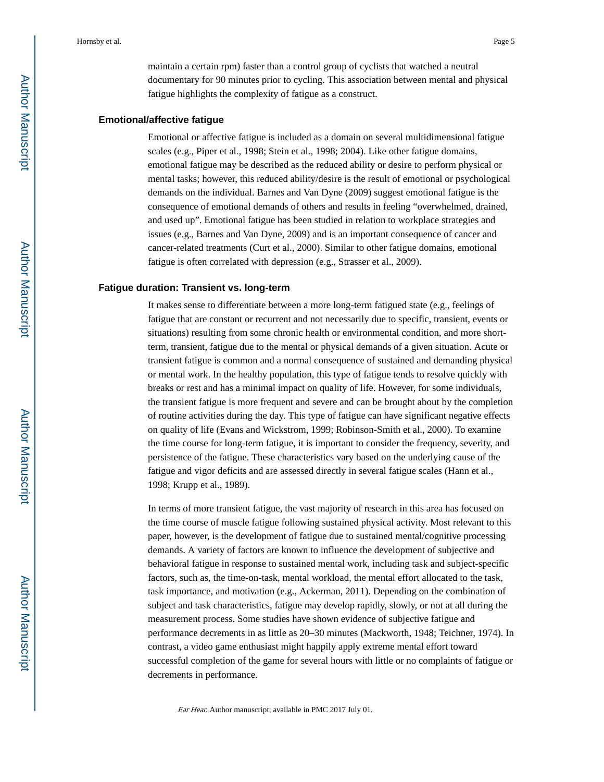maintain a certain rpm) faster than a control group of cyclists that watched a neutral documentary for 90 minutes prior to cycling. This association between mental and physical fatigue highlights the complexity of fatigue as a construct.

#### **Emotional/affective fatigue**

Emotional or affective fatigue is included as a domain on several multidimensional fatigue scales (e.g., Piper et al., 1998; Stein et al., 1998; 2004). Like other fatigue domains, emotional fatigue may be described as the reduced ability or desire to perform physical or mental tasks; however, this reduced ability/desire is the result of emotional or psychological demands on the individual. Barnes and Van Dyne (2009) suggest emotional fatigue is the consequence of emotional demands of others and results in feeling "overwhelmed, drained, and used up". Emotional fatigue has been studied in relation to workplace strategies and issues (e.g., Barnes and Van Dyne, 2009) and is an important consequence of cancer and cancer-related treatments (Curt et al., 2000). Similar to other fatigue domains, emotional fatigue is often correlated with depression (e.g., Strasser et al., 2009).

#### **Fatigue duration: Transient vs. long-term**

It makes sense to differentiate between a more long-term fatigued state (e.g., feelings of fatigue that are constant or recurrent and not necessarily due to specific, transient, events or situations) resulting from some chronic health or environmental condition, and more shortterm, transient, fatigue due to the mental or physical demands of a given situation. Acute or transient fatigue is common and a normal consequence of sustained and demanding physical or mental work. In the healthy population, this type of fatigue tends to resolve quickly with breaks or rest and has a minimal impact on quality of life. However, for some individuals, the transient fatigue is more frequent and severe and can be brought about by the completion of routine activities during the day. This type of fatigue can have significant negative effects on quality of life (Evans and Wickstrom, 1999; Robinson-Smith et al., 2000). To examine the time course for long-term fatigue, it is important to consider the frequency, severity, and persistence of the fatigue. These characteristics vary based on the underlying cause of the fatigue and vigor deficits and are assessed directly in several fatigue scales (Hann et al., 1998; Krupp et al., 1989).

In terms of more transient fatigue, the vast majority of research in this area has focused on the time course of muscle fatigue following sustained physical activity. Most relevant to this paper, however, is the development of fatigue due to sustained mental/cognitive processing demands. A variety of factors are known to influence the development of subjective and behavioral fatigue in response to sustained mental work, including task and subject-specific factors, such as, the time-on-task, mental workload, the mental effort allocated to the task, task importance, and motivation (e.g., Ackerman, 2011). Depending on the combination of subject and task characteristics, fatigue may develop rapidly, slowly, or not at all during the measurement process. Some studies have shown evidence of subjective fatigue and performance decrements in as little as 20–30 minutes (Mackworth, 1948; Teichner, 1974). In contrast, a video game enthusiast might happily apply extreme mental effort toward successful completion of the game for several hours with little or no complaints of fatigue or decrements in performance.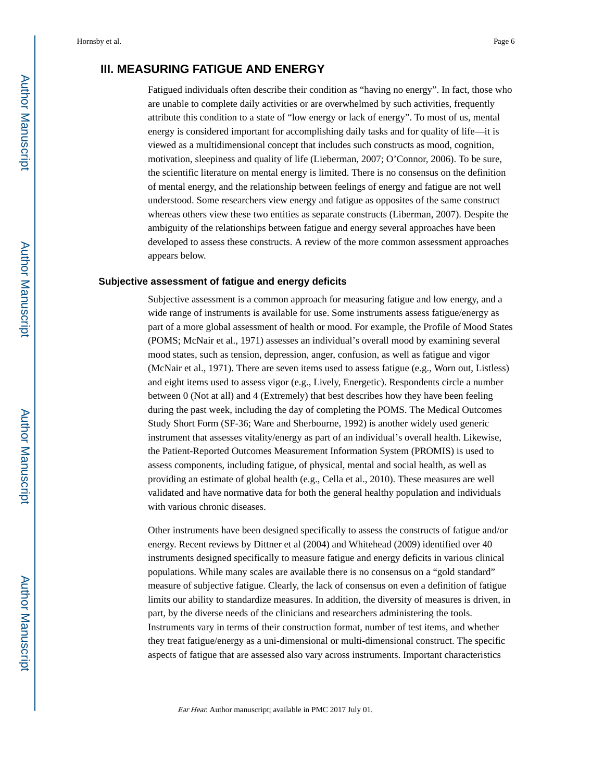## **III. MEASURING FATIGUE AND ENERGY**

Fatigued individuals often describe their condition as "having no energy". In fact, those who are unable to complete daily activities or are overwhelmed by such activities, frequently attribute this condition to a state of "low energy or lack of energy". To most of us, mental energy is considered important for accomplishing daily tasks and for quality of life—it is viewed as a multidimensional concept that includes such constructs as mood, cognition, motivation, sleepiness and quality of life (Lieberman, 2007; O'Connor, 2006). To be sure, the scientific literature on mental energy is limited. There is no consensus on the definition of mental energy, and the relationship between feelings of energy and fatigue are not well understood. Some researchers view energy and fatigue as opposites of the same construct whereas others view these two entities as separate constructs (Liberman, 2007). Despite the ambiguity of the relationships between fatigue and energy several approaches have been developed to assess these constructs. A review of the more common assessment approaches appears below.

#### **Subjective assessment of fatigue and energy deficits**

Subjective assessment is a common approach for measuring fatigue and low energy, and a wide range of instruments is available for use. Some instruments assess fatigue/energy as part of a more global assessment of health or mood. For example, the Profile of Mood States (POMS; McNair et al., 1971) assesses an individual's overall mood by examining several mood states, such as tension, depression, anger, confusion, as well as fatigue and vigor (McNair et al., 1971). There are seven items used to assess fatigue (e.g., Worn out, Listless) and eight items used to assess vigor (e.g., Lively, Energetic). Respondents circle a number between 0 (Not at all) and 4 (Extremely) that best describes how they have been feeling during the past week, including the day of completing the POMS. The Medical Outcomes Study Short Form (SF-36; Ware and Sherbourne, 1992) is another widely used generic instrument that assesses vitality/energy as part of an individual's overall health. Likewise, the Patient-Reported Outcomes Measurement Information System (PROMIS) is used to assess components, including fatigue, of physical, mental and social health, as well as providing an estimate of global health (e.g., Cella et al., 2010). These measures are well validated and have normative data for both the general healthy population and individuals with various chronic diseases.

Other instruments have been designed specifically to assess the constructs of fatigue and/or energy. Recent reviews by Dittner et al (2004) and Whitehead (2009) identified over 40 instruments designed specifically to measure fatigue and energy deficits in various clinical populations. While many scales are available there is no consensus on a "gold standard" measure of subjective fatigue. Clearly, the lack of consensus on even a definition of fatigue limits our ability to standardize measures. In addition, the diversity of measures is driven, in part, by the diverse needs of the clinicians and researchers administering the tools. Instruments vary in terms of their construction format, number of test items, and whether they treat fatigue/energy as a uni-dimensional or multi-dimensional construct. The specific aspects of fatigue that are assessed also vary across instruments. Important characteristics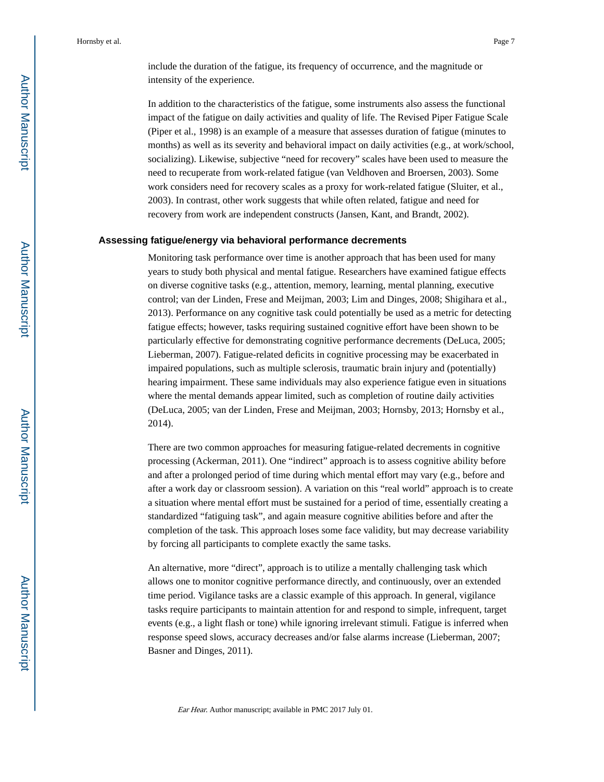include the duration of the fatigue, its frequency of occurrence, and the magnitude or intensity of the experience.

In addition to the characteristics of the fatigue, some instruments also assess the functional impact of the fatigue on daily activities and quality of life. The Revised Piper Fatigue Scale (Piper et al., 1998) is an example of a measure that assesses duration of fatigue (minutes to months) as well as its severity and behavioral impact on daily activities (e.g., at work/school, socializing). Likewise, subjective "need for recovery" scales have been used to measure the need to recuperate from work-related fatigue (van Veldhoven and Broersen, 2003). Some work considers need for recovery scales as a proxy for work-related fatigue (Sluiter, et al., 2003). In contrast, other work suggests that while often related, fatigue and need for recovery from work are independent constructs (Jansen, Kant, and Brandt, 2002).

#### **Assessing fatigue/energy via behavioral performance decrements**

Monitoring task performance over time is another approach that has been used for many years to study both physical and mental fatigue. Researchers have examined fatigue effects on diverse cognitive tasks (e.g., attention, memory, learning, mental planning, executive control; van der Linden, Frese and Meijman, 2003; Lim and Dinges, 2008; Shigihara et al., 2013). Performance on any cognitive task could potentially be used as a metric for detecting fatigue effects; however, tasks requiring sustained cognitive effort have been shown to be particularly effective for demonstrating cognitive performance decrements (DeLuca, 2005; Lieberman, 2007). Fatigue-related deficits in cognitive processing may be exacerbated in impaired populations, such as multiple sclerosis, traumatic brain injury and (potentially) hearing impairment. These same individuals may also experience fatigue even in situations where the mental demands appear limited, such as completion of routine daily activities (DeLuca, 2005; van der Linden, Frese and Meijman, 2003; Hornsby, 2013; Hornsby et al., 2014).

There are two common approaches for measuring fatigue-related decrements in cognitive processing (Ackerman, 2011). One "indirect" approach is to assess cognitive ability before and after a prolonged period of time during which mental effort may vary (e.g., before and after a work day or classroom session). A variation on this "real world" approach is to create a situation where mental effort must be sustained for a period of time, essentially creating a standardized "fatiguing task", and again measure cognitive abilities before and after the completion of the task. This approach loses some face validity, but may decrease variability by forcing all participants to complete exactly the same tasks.

An alternative, more "direct", approach is to utilize a mentally challenging task which allows one to monitor cognitive performance directly, and continuously, over an extended time period. Vigilance tasks are a classic example of this approach. In general, vigilance tasks require participants to maintain attention for and respond to simple, infrequent, target events (e.g., a light flash or tone) while ignoring irrelevant stimuli. Fatigue is inferred when response speed slows, accuracy decreases and/or false alarms increase (Lieberman, 2007; Basner and Dinges, 2011).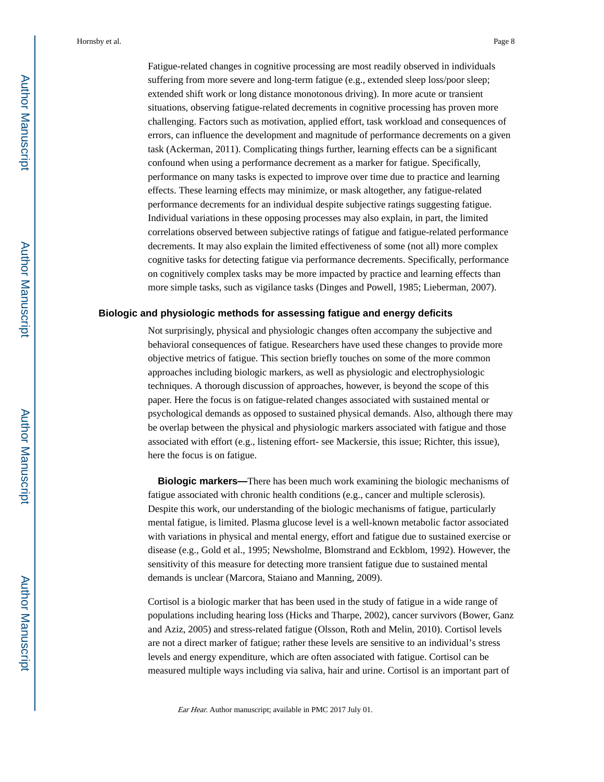Fatigue-related changes in cognitive processing are most readily observed in individuals suffering from more severe and long-term fatigue (e.g., extended sleep loss/poor sleep; extended shift work or long distance monotonous driving). In more acute or transient situations, observing fatigue-related decrements in cognitive processing has proven more challenging. Factors such as motivation, applied effort, task workload and consequences of errors, can influence the development and magnitude of performance decrements on a given task (Ackerman, 2011). Complicating things further, learning effects can be a significant confound when using a performance decrement as a marker for fatigue. Specifically, performance on many tasks is expected to improve over time due to practice and learning effects. These learning effects may minimize, or mask altogether, any fatigue-related performance decrements for an individual despite subjective ratings suggesting fatigue. Individual variations in these opposing processes may also explain, in part, the limited correlations observed between subjective ratings of fatigue and fatigue-related performance decrements. It may also explain the limited effectiveness of some (not all) more complex cognitive tasks for detecting fatigue via performance decrements. Specifically, performance on cognitively complex tasks may be more impacted by practice and learning effects than more simple tasks, such as vigilance tasks (Dinges and Powell, 1985; Lieberman, 2007).

#### **Biologic and physiologic methods for assessing fatigue and energy deficits**

Not surprisingly, physical and physiologic changes often accompany the subjective and behavioral consequences of fatigue. Researchers have used these changes to provide more objective metrics of fatigue. This section briefly touches on some of the more common approaches including biologic markers, as well as physiologic and electrophysiologic techniques. A thorough discussion of approaches, however, is beyond the scope of this paper. Here the focus is on fatigue-related changes associated with sustained mental or psychological demands as opposed to sustained physical demands. Also, although there may be overlap between the physical and physiologic markers associated with fatigue and those associated with effort (e.g., listening effort- see Mackersie, this issue; Richter, this issue), here the focus is on fatigue.

 **Biologic markers—**There has been much work examining the biologic mechanisms of fatigue associated with chronic health conditions (e.g., cancer and multiple sclerosis). Despite this work, our understanding of the biologic mechanisms of fatigue, particularly mental fatigue, is limited. Plasma glucose level is a well-known metabolic factor associated with variations in physical and mental energy, effort and fatigue due to sustained exercise or disease (e.g., Gold et al., 1995; Newsholme, Blomstrand and Eckblom, 1992). However, the sensitivity of this measure for detecting more transient fatigue due to sustained mental demands is unclear (Marcora, Staiano and Manning, 2009).

Cortisol is a biologic marker that has been used in the study of fatigue in a wide range of populations including hearing loss (Hicks and Tharpe, 2002), cancer survivors (Bower, Ganz and Aziz, 2005) and stress-related fatigue (Olsson, Roth and Melin, 2010). Cortisol levels are not a direct marker of fatigue; rather these levels are sensitive to an individual's stress levels and energy expenditure, which are often associated with fatigue. Cortisol can be measured multiple ways including via saliva, hair and urine. Cortisol is an important part of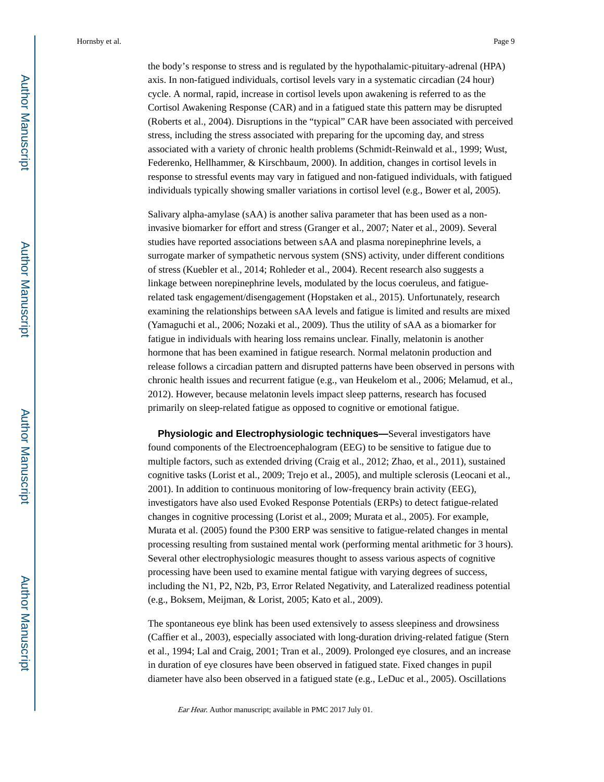the body's response to stress and is regulated by the hypothalamic-pituitary-adrenal (HPA) axis. In non-fatigued individuals, cortisol levels vary in a systematic circadian (24 hour) cycle. A normal, rapid, increase in cortisol levels upon awakening is referred to as the Cortisol Awakening Response (CAR) and in a fatigued state this pattern may be disrupted (Roberts et al., 2004). Disruptions in the "typical" CAR have been associated with perceived stress, including the stress associated with preparing for the upcoming day, and stress associated with a variety of chronic health problems (Schmidt-Reinwald et al., 1999; Wust, Federenko, Hellhammer, & Kirschbaum, 2000). In addition, changes in cortisol levels in response to stressful events may vary in fatigued and non-fatigued individuals, with fatigued individuals typically showing smaller variations in cortisol level (e.g., Bower et al, 2005).

Salivary alpha-amylase (sAA) is another saliva parameter that has been used as a noninvasive biomarker for effort and stress (Granger et al., 2007; Nater et al., 2009). Several studies have reported associations between sAA and plasma norepinephrine levels, a surrogate marker of sympathetic nervous system (SNS) activity, under different conditions of stress (Kuebler et al., 2014; Rohleder et al., 2004). Recent research also suggests a linkage between norepinephrine levels, modulated by the locus coeruleus, and fatiguerelated task engagement/disengagement (Hopstaken et al., 2015). Unfortunately, research examining the relationships between sAA levels and fatigue is limited and results are mixed (Yamaguchi et al., 2006; Nozaki et al., 2009). Thus the utility of sAA as a biomarker for fatigue in individuals with hearing loss remains unclear. Finally, melatonin is another hormone that has been examined in fatigue research. Normal melatonin production and release follows a circadian pattern and disrupted patterns have been observed in persons with chronic health issues and recurrent fatigue (e.g., van Heukelom et al., 2006; Melamud, et al., 2012). However, because melatonin levels impact sleep patterns, research has focused primarily on sleep-related fatigue as opposed to cognitive or emotional fatigue.

 **Physiologic and Electrophysiologic techniques—**Several investigators have found components of the Electroencephalogram (EEG) to be sensitive to fatigue due to multiple factors, such as extended driving (Craig et al., 2012; Zhao, et al., 2011), sustained cognitive tasks (Lorist et al., 2009; Trejo et al., 2005), and multiple sclerosis (Leocani et al., 2001). In addition to continuous monitoring of low-frequency brain activity (EEG), investigators have also used Evoked Response Potentials (ERPs) to detect fatigue-related changes in cognitive processing (Lorist et al., 2009; Murata et al., 2005). For example, Murata et al. (2005) found the P300 ERP was sensitive to fatigue-related changes in mental processing resulting from sustained mental work (performing mental arithmetic for 3 hours). Several other electrophysiologic measures thought to assess various aspects of cognitive processing have been used to examine mental fatigue with varying degrees of success, including the N1, P2, N2b, P3, Error Related Negativity, and Lateralized readiness potential (e.g., Boksem, Meijman, & Lorist, 2005; Kato et al., 2009).

The spontaneous eye blink has been used extensively to assess sleepiness and drowsiness (Caffier et al., 2003), especially associated with long-duration driving-related fatigue (Stern et al., 1994; Lal and Craig, 2001; Tran et al., 2009). Prolonged eye closures, and an increase in duration of eye closures have been observed in fatigued state. Fixed changes in pupil diameter have also been observed in a fatigued state (e.g., LeDuc et al., 2005). Oscillations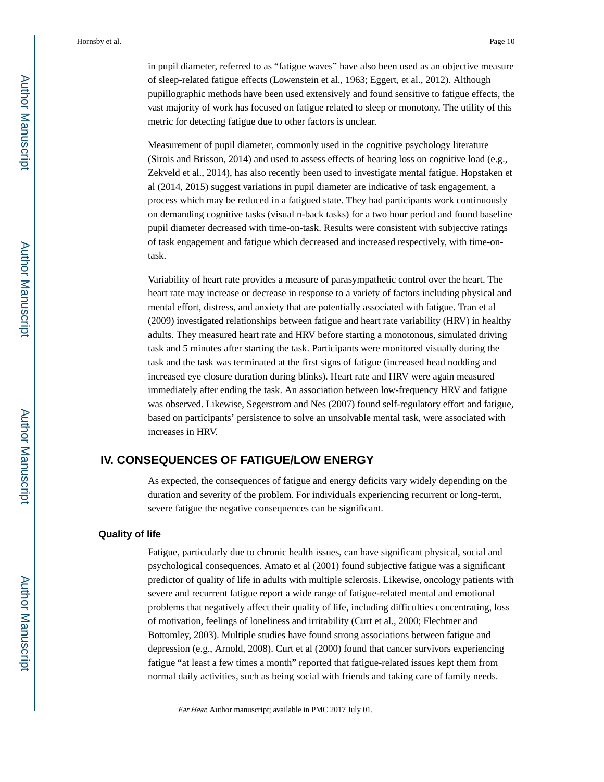in pupil diameter, referred to as "fatigue waves" have also been used as an objective measure of sleep-related fatigue effects (Lowenstein et al., 1963; Eggert, et al., 2012). Although pupillographic methods have been used extensively and found sensitive to fatigue effects, the vast majority of work has focused on fatigue related to sleep or monotony. The utility of this metric for detecting fatigue due to other factors is unclear.

Measurement of pupil diameter, commonly used in the cognitive psychology literature (Sirois and Brisson, 2014) and used to assess effects of hearing loss on cognitive load (e.g., Zekveld et al., 2014), has also recently been used to investigate mental fatigue. Hopstaken et al (2014, 2015) suggest variations in pupil diameter are indicative of task engagement, a process which may be reduced in a fatigued state. They had participants work continuously on demanding cognitive tasks (visual n-back tasks) for a two hour period and found baseline pupil diameter decreased with time-on-task. Results were consistent with subjective ratings of task engagement and fatigue which decreased and increased respectively, with time-ontask.

Variability of heart rate provides a measure of parasympathetic control over the heart. The heart rate may increase or decrease in response to a variety of factors including physical and mental effort, distress, and anxiety that are potentially associated with fatigue. Tran et al (2009) investigated relationships between fatigue and heart rate variability (HRV) in healthy adults. They measured heart rate and HRV before starting a monotonous, simulated driving task and 5 minutes after starting the task. Participants were monitored visually during the task and the task was terminated at the first signs of fatigue (increased head nodding and increased eye closure duration during blinks). Heart rate and HRV were again measured immediately after ending the task. An association between low-frequency HRV and fatigue was observed. Likewise, Segerstrom and Nes (2007) found self-regulatory effort and fatigue, based on participants' persistence to solve an unsolvable mental task, were associated with increases in HRV.

## **IV. CONSEQUENCES OF FATIGUE/LOW ENERGY**

As expected, the consequences of fatigue and energy deficits vary widely depending on the duration and severity of the problem. For individuals experiencing recurrent or long-term, severe fatigue the negative consequences can be significant.

#### **Quality of life**

Fatigue, particularly due to chronic health issues, can have significant physical, social and psychological consequences. Amato et al (2001) found subjective fatigue was a significant predictor of quality of life in adults with multiple sclerosis. Likewise, oncology patients with severe and recurrent fatigue report a wide range of fatigue-related mental and emotional problems that negatively affect their quality of life, including difficulties concentrating, loss of motivation, feelings of loneliness and irritability (Curt et al., 2000; Flechtner and Bottomley, 2003). Multiple studies have found strong associations between fatigue and depression (e.g., Arnold, 2008). Curt et al (2000) found that cancer survivors experiencing fatigue "at least a few times a month" reported that fatigue-related issues kept them from normal daily activities, such as being social with friends and taking care of family needs.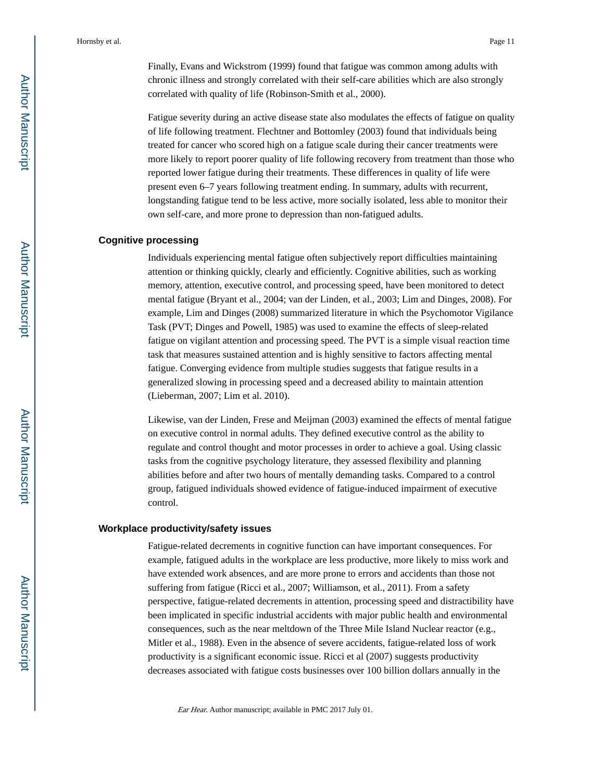Finally, Evans and Wickstrom (1999) found that fatigue was common among adults with chronic illness and strongly correlated with their self-care abilities which are also strongly correlated with quality of life (Robinson-Smith et al., 2000).

Fatigue severity during an active disease state also modulates the effects of fatigue on quality of life following treatment. Flechtner and Bottomley (2003) found that individuals being treated for cancer who scored high on a fatigue scale during their cancer treatments were more likely to report poorer quality of life following recovery from treatment than those who reported lower fatigue during their treatments. These differences in quality of life were present even 6–7 years following treatment ending. In summary, adults with recurrent, longstanding fatigue tend to be less active, more socially isolated, less able to monitor their own self-care, and more prone to depression than non-fatigued adults.

#### **Cognitive processing**

Individuals experiencing mental fatigue often subjectively report difficulties maintaining attention or thinking quickly, clearly and efficiently. Cognitive abilities, such as working memory, attention, executive control, and processing speed, have been monitored to detect mental fatigue (Bryant et al., 2004; van der Linden, et al., 2003; Lim and Dinges, 2008). For example, Lim and Dinges (2008) summarized literature in which the Psychomotor Vigilance Task (PVT; Dinges and Powell, 1985) was used to examine the effects of sleep-related fatigue on vigilant attention and processing speed. The PVT is a simple visual reaction time task that measures sustained attention and is highly sensitive to factors affecting mental fatigue. Converging evidence from multiple studies suggests that fatigue results in a generalized slowing in processing speed and a decreased ability to maintain attention (Lieberman, 2007; Lim et al. 2010).

Likewise, van der Linden, Frese and Meijman (2003) examined the effects of mental fatigue on executive control in normal adults. They defined executive control as the ability to regulate and control thought and motor processes in order to achieve a goal. Using classic tasks from the cognitive psychology literature, they assessed flexibility and planning abilities before and after two hours of mentally demanding tasks. Compared to a control group, fatigued individuals showed evidence of fatigue-induced impairment of executive control.

#### **Workplace productivity/safety issues**

Fatigue-related decrements in cognitive function can have important consequences. For example, fatigued adults in the workplace are less productive, more likely to miss work and have extended work absences, and are more prone to errors and accidents than those not suffering from fatigue (Ricci et al., 2007; Williamson, et al., 2011). From a safety perspective, fatigue-related decrements in attention, processing speed and distractibility have been implicated in specific industrial accidents with major public health and environmental consequences, such as the near meltdown of the Three Mile Island Nuclear reactor (e.g., Mitler et al., 1988). Even in the absence of severe accidents, fatigue-related loss of work productivity is a significant economic issue. Ricci et al (2007) suggests productivity decreases associated with fatigue costs businesses over 100 billion dollars annually in the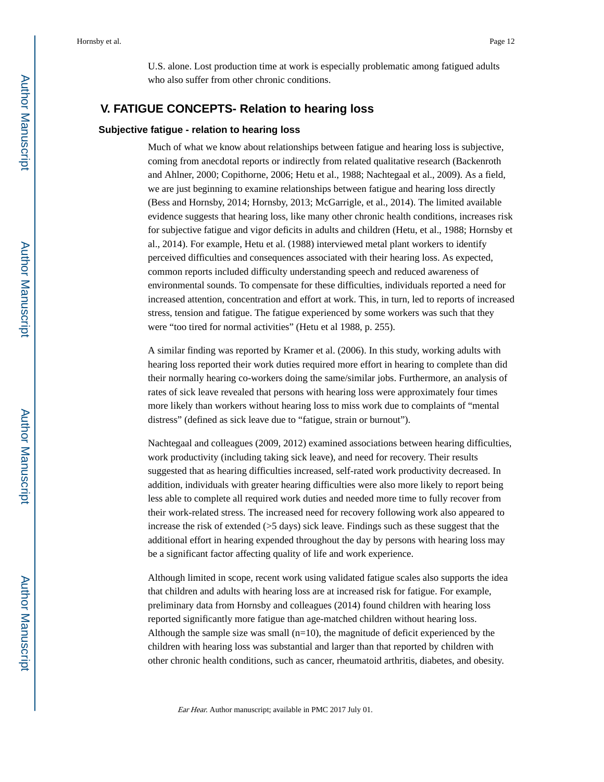U.S. alone. Lost production time at work is especially problematic among fatigued adults who also suffer from other chronic conditions.

## **V. FATIGUE CONCEPTS- Relation to hearing loss**

#### **Subjective fatigue - relation to hearing loss**

Much of what we know about relationships between fatigue and hearing loss is subjective, coming from anecdotal reports or indirectly from related qualitative research (Backenroth and Ahlner, 2000; Copithorne, 2006; Hetu et al., 1988; Nachtegaal et al., 2009). As a field, we are just beginning to examine relationships between fatigue and hearing loss directly (Bess and Hornsby, 2014; Hornsby, 2013; McGarrigle, et al., 2014). The limited available evidence suggests that hearing loss, like many other chronic health conditions, increases risk for subjective fatigue and vigor deficits in adults and children (Hetu, et al., 1988; Hornsby et al., 2014). For example, Hetu et al. (1988) interviewed metal plant workers to identify perceived difficulties and consequences associated with their hearing loss. As expected, common reports included difficulty understanding speech and reduced awareness of environmental sounds. To compensate for these difficulties, individuals reported a need for increased attention, concentration and effort at work. This, in turn, led to reports of increased stress, tension and fatigue. The fatigue experienced by some workers was such that they were "too tired for normal activities" (Hetu et al 1988, p. 255).

A similar finding was reported by Kramer et al. (2006). In this study, working adults with hearing loss reported their work duties required more effort in hearing to complete than did their normally hearing co-workers doing the same/similar jobs. Furthermore, an analysis of rates of sick leave revealed that persons with hearing loss were approximately four times more likely than workers without hearing loss to miss work due to complaints of "mental distress" (defined as sick leave due to "fatigue, strain or burnout").

Nachtegaal and colleagues (2009, 2012) examined associations between hearing difficulties, work productivity (including taking sick leave), and need for recovery. Their results suggested that as hearing difficulties increased, self-rated work productivity decreased. In addition, individuals with greater hearing difficulties were also more likely to report being less able to complete all required work duties and needed more time to fully recover from their work-related stress. The increased need for recovery following work also appeared to increase the risk of extended (>5 days) sick leave. Findings such as these suggest that the additional effort in hearing expended throughout the day by persons with hearing loss may be a significant factor affecting quality of life and work experience.

Although limited in scope, recent work using validated fatigue scales also supports the idea that children and adults with hearing loss are at increased risk for fatigue. For example, preliminary data from Hornsby and colleagues (2014) found children with hearing loss reported significantly more fatigue than age-matched children without hearing loss. Although the sample size was small  $(n=10)$ , the magnitude of deficit experienced by the children with hearing loss was substantial and larger than that reported by children with other chronic health conditions, such as cancer, rheumatoid arthritis, diabetes, and obesity.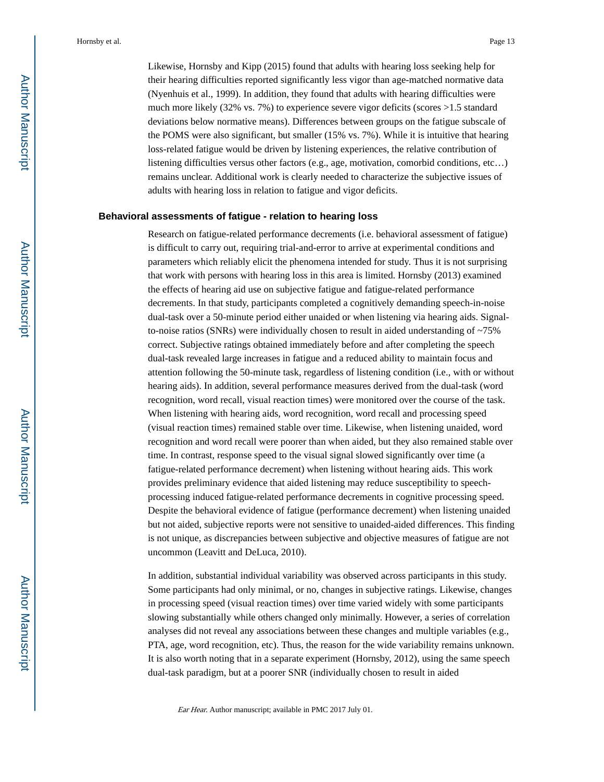Likewise, Hornsby and Kipp (2015) found that adults with hearing loss seeking help for their hearing difficulties reported significantly less vigor than age-matched normative data (Nyenhuis et al., 1999). In addition, they found that adults with hearing difficulties were much more likely (32% vs. 7%) to experience severe vigor deficits (scores >1.5 standard deviations below normative means). Differences between groups on the fatigue subscale of the POMS were also significant, but smaller (15% vs. 7%). While it is intuitive that hearing loss-related fatigue would be driven by listening experiences, the relative contribution of listening difficulties versus other factors (e.g., age, motivation, comorbid conditions, etc…) remains unclear. Additional work is clearly needed to characterize the subjective issues of adults with hearing loss in relation to fatigue and vigor deficits.

#### **Behavioral assessments of fatigue - relation to hearing loss**

Research on fatigue-related performance decrements (i.e. behavioral assessment of fatigue) is difficult to carry out, requiring trial-and-error to arrive at experimental conditions and parameters which reliably elicit the phenomena intended for study. Thus it is not surprising that work with persons with hearing loss in this area is limited. Hornsby (2013) examined the effects of hearing aid use on subjective fatigue and fatigue-related performance decrements. In that study, participants completed a cognitively demanding speech-in-noise dual-task over a 50-minute period either unaided or when listening via hearing aids. Signalto-noise ratios (SNRs) were individually chosen to result in aided understanding of  $\sim$ 75% correct. Subjective ratings obtained immediately before and after completing the speech dual-task revealed large increases in fatigue and a reduced ability to maintain focus and attention following the 50-minute task, regardless of listening condition (i.e., with or without hearing aids). In addition, several performance measures derived from the dual-task (word recognition, word recall, visual reaction times) were monitored over the course of the task. When listening with hearing aids, word recognition, word recall and processing speed (visual reaction times) remained stable over time. Likewise, when listening unaided, word recognition and word recall were poorer than when aided, but they also remained stable over time. In contrast, response speed to the visual signal slowed significantly over time (a fatigue-related performance decrement) when listening without hearing aids. This work provides preliminary evidence that aided listening may reduce susceptibility to speechprocessing induced fatigue-related performance decrements in cognitive processing speed. Despite the behavioral evidence of fatigue (performance decrement) when listening unaided but not aided, subjective reports were not sensitive to unaided-aided differences. This finding is not unique, as discrepancies between subjective and objective measures of fatigue are not uncommon (Leavitt and DeLuca, 2010).

In addition, substantial individual variability was observed across participants in this study. Some participants had only minimal, or no, changes in subjective ratings. Likewise, changes in processing speed (visual reaction times) over time varied widely with some participants slowing substantially while others changed only minimally. However, a series of correlation analyses did not reveal any associations between these changes and multiple variables (e.g., PTA, age, word recognition, etc). Thus, the reason for the wide variability remains unknown. It is also worth noting that in a separate experiment (Hornsby, 2012), using the same speech dual-task paradigm, but at a poorer SNR (individually chosen to result in aided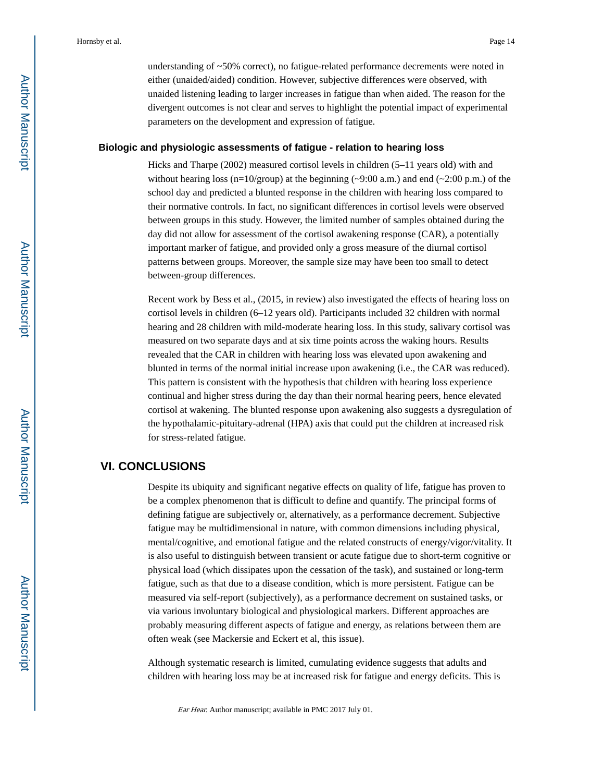understanding of ~50% correct), no fatigue-related performance decrements were noted in either (unaided/aided) condition. However, subjective differences were observed, with unaided listening leading to larger increases in fatigue than when aided. The reason for the divergent outcomes is not clear and serves to highlight the potential impact of experimental parameters on the development and expression of fatigue.

#### **Biologic and physiologic assessments of fatigue - relation to hearing loss**

Hicks and Tharpe (2002) measured cortisol levels in children (5–11 years old) with and without hearing loss (n=10/group) at the beginning  $(\sim 9:00 \text{ a.m.})$  and end  $(\sim 2:00 \text{ p.m.})$  of the school day and predicted a blunted response in the children with hearing loss compared to their normative controls. In fact, no significant differences in cortisol levels were observed between groups in this study. However, the limited number of samples obtained during the day did not allow for assessment of the cortisol awakening response (CAR), a potentially important marker of fatigue, and provided only a gross measure of the diurnal cortisol patterns between groups. Moreover, the sample size may have been too small to detect between-group differences.

Recent work by Bess et al., (2015, in review) also investigated the effects of hearing loss on cortisol levels in children (6–12 years old). Participants included 32 children with normal hearing and 28 children with mild-moderate hearing loss. In this study, salivary cortisol was measured on two separate days and at six time points across the waking hours. Results revealed that the CAR in children with hearing loss was elevated upon awakening and blunted in terms of the normal initial increase upon awakening (i.e., the CAR was reduced). This pattern is consistent with the hypothesis that children with hearing loss experience continual and higher stress during the day than their normal hearing peers, hence elevated cortisol at wakening. The blunted response upon awakening also suggests a dysregulation of the hypothalamic-pituitary-adrenal (HPA) axis that could put the children at increased risk for stress-related fatigue.

### **VI. CONCLUSIONS**

Despite its ubiquity and significant negative effects on quality of life, fatigue has proven to be a complex phenomenon that is difficult to define and quantify. The principal forms of defining fatigue are subjectively or, alternatively, as a performance decrement. Subjective fatigue may be multidimensional in nature, with common dimensions including physical, mental/cognitive, and emotional fatigue and the related constructs of energy/vigor/vitality. It is also useful to distinguish between transient or acute fatigue due to short-term cognitive or physical load (which dissipates upon the cessation of the task), and sustained or long-term fatigue, such as that due to a disease condition, which is more persistent. Fatigue can be measured via self-report (subjectively), as a performance decrement on sustained tasks, or via various involuntary biological and physiological markers. Different approaches are probably measuring different aspects of fatigue and energy, as relations between them are often weak (see Mackersie and Eckert et al, this issue).

Although systematic research is limited, cumulating evidence suggests that adults and children with hearing loss may be at increased risk for fatigue and energy deficits. This is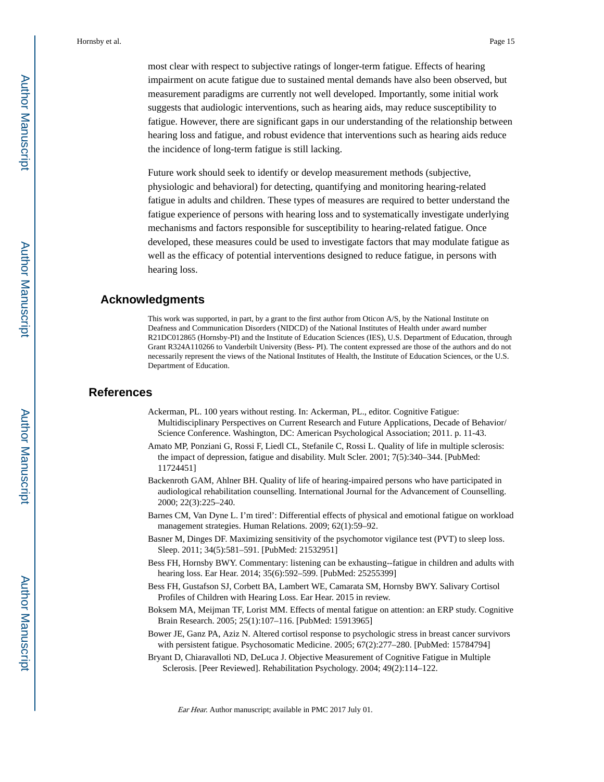measurement paradigms are currently not well developed. Importantly, some initial work suggests that audiologic interventions, such as hearing aids, may reduce susceptibility to fatigue. However, there are significant gaps in our understanding of the relationship between hearing loss and fatigue, and robust evidence that interventions such as hearing aids reduce the incidence of long-term fatigue is still lacking.

Future work should seek to identify or develop measurement methods (subjective, physiologic and behavioral) for detecting, quantifying and monitoring hearing-related fatigue in adults and children. These types of measures are required to better understand the fatigue experience of persons with hearing loss and to systematically investigate underlying mechanisms and factors responsible for susceptibility to hearing-related fatigue. Once developed, these measures could be used to investigate factors that may modulate fatigue as well as the efficacy of potential interventions designed to reduce fatigue, in persons with hearing loss.

## **Acknowledgments**

This work was supported, in part, by a grant to the first author from Oticon A/S, by the National Institute on Deafness and Communication Disorders (NIDCD) of the National Institutes of Health under award number R21DC012865 (Hornsby-PI) and the Institute of Education Sciences (IES), U.S. Department of Education, through Grant R324A110266 to Vanderbilt University (Bess- PI). The content expressed are those of the authors and do not necessarily represent the views of the National Institutes of Health, the Institute of Education Sciences, or the U.S. Department of Education.

## **References**

- Ackerman, PL. 100 years without resting. In: Ackerman, PL., editor. Cognitive Fatigue: Multidisciplinary Perspectives on Current Research and Future Applications, Decade of Behavior/ Science Conference. Washington, DC: American Psychological Association; 2011. p. 11-43.
- Amato MP, Ponziani G, Rossi F, Liedl CL, Stefanile C, Rossi L. Quality of life in multiple sclerosis: the impact of depression, fatigue and disability. Mult Scler. 2001; 7(5):340–344. [PubMed: 11724451]
- Backenroth GAM, Ahlner BH. Quality of life of hearing-impaired persons who have participated in audiological rehabilitation counselling. International Journal for the Advancement of Counselling. 2000; 22(3):225–240.
- Barnes CM, Van Dyne L. I'm tired': Differential effects of physical and emotional fatigue on workload management strategies. Human Relations. 2009; 62(1):59–92.
- Basner M, Dinges DF. Maximizing sensitivity of the psychomotor vigilance test (PVT) to sleep loss. Sleep. 2011; 34(5):581–591. [PubMed: 21532951]
- Bess FH, Hornsby BWY. Commentary: listening can be exhausting--fatigue in children and adults with hearing loss. Ear Hear. 2014; 35(6):592–599. [PubMed: 25255399]
- Bess FH, Gustafson SJ, Corbett BA, Lambert WE, Camarata SM, Hornsby BWY. Salivary Cortisol Profiles of Children with Hearing Loss. Ear Hear. 2015 in review.
- Boksem MA, Meijman TF, Lorist MM. Effects of mental fatigue on attention: an ERP study. Cognitive Brain Research. 2005; 25(1):107–116. [PubMed: 15913965]
- Bower JE, Ganz PA, Aziz N. Altered cortisol response to psychologic stress in breast cancer survivors with persistent fatigue. Psychosomatic Medicine. 2005; 67(2):277–280. [PubMed: 15784794]
- Bryant D, Chiaravalloti ND, DeLuca J. Objective Measurement of Cognitive Fatigue in Multiple Sclerosis. [Peer Reviewed]. Rehabilitation Psychology. 2004; 49(2):114–122.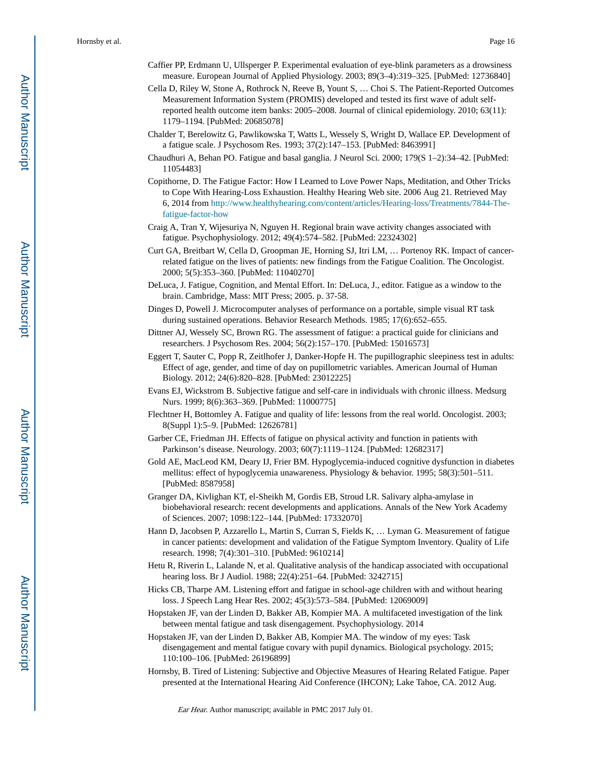- Caffier PP, Erdmann U, Ullsperger P. Experimental evaluation of eye-blink parameters as a drowsiness measure. European Journal of Applied Physiology. 2003; 89(3–4):319–325. [PubMed: 12736840]
- Cella D, Riley W, Stone A, Rothrock N, Reeve B, Yount S, … Choi S. The Patient-Reported Outcomes Measurement Information System (PROMIS) developed and tested its first wave of adult selfreported health outcome item banks: 2005–2008. Journal of clinical epidemiology. 2010; 63(11): 1179–1194. [PubMed: 20685078]
- Chalder T, Berelowitz G, Pawlikowska T, Watts L, Wessely S, Wright D, Wallace EP. Development of a fatigue scale. J Psychosom Res. 1993; 37(2):147–153. [PubMed: 8463991]
- Chaudhuri A, Behan PO. Fatigue and basal ganglia. J Neurol Sci. 2000; 179(S 1–2):34–42. [PubMed: 11054483]
- Copithorne, D. The Fatigue Factor: How I Learned to Love Power Naps, Meditation, and Other Tricks to Cope With Hearing-Loss Exhaustion. Healthy Hearing Web site. 2006 Aug 21. Retrieved May 6, 2014 from [http://www.healthyhearing.com/content/articles/Hearing-loss/Treatments/7844-The](http://www.healthyhearing.com/content/articles/Hearing-loss/Treatments/7844-The-fatigue-factor-how)[fatigue-factor-how](http://www.healthyhearing.com/content/articles/Hearing-loss/Treatments/7844-The-fatigue-factor-how)
- Craig A, Tran Y, Wijesuriya N, Nguyen H. Regional brain wave activity changes associated with fatigue. Psychophysiology. 2012; 49(4):574–582. [PubMed: 22324302]
- Curt GA, Breitbart W, Cella D, Groopman JE, Horning SJ, Itri LM, … Portenoy RK. Impact of cancerrelated fatigue on the lives of patients: new findings from the Fatigue Coalition. The Oncologist. 2000; 5(5):353–360. [PubMed: 11040270]
- DeLuca, J. Fatigue, Cognition, and Mental Effort. In: DeLuca, J., editor. Fatigue as a window to the brain. Cambridge, Mass: MIT Press; 2005. p. 37-58.
- Dinges D, Powell J. Microcomputer analyses of performance on a portable, simple visual RT task during sustained operations. Behavior Research Methods. 1985; 17(6):652–655.
- Dittner AJ, Wessely SC, Brown RG. The assessment of fatigue: a practical guide for clinicians and researchers. J Psychosom Res. 2004; 56(2):157–170. [PubMed: 15016573]
- Eggert T, Sauter C, Popp R, Zeitlhofer J, Danker-Hopfe H. The pupillographic sleepiness test in adults: Effect of age, gender, and time of day on pupillometric variables. American Journal of Human Biology. 2012; 24(6):820–828. [PubMed: 23012225]
- Evans EJ, Wickstrom B. Subjective fatigue and self-care in individuals with chronic illness. Medsurg Nurs. 1999; 8(6):363–369. [PubMed: 11000775]
- Flechtner H, Bottomley A. Fatigue and quality of life: lessons from the real world. Oncologist. 2003; 8(Suppl 1):5–9. [PubMed: 12626781]
- Garber CE, Friedman JH. Effects of fatigue on physical activity and function in patients with Parkinson's disease. Neurology. 2003; 60(7):1119–1124. [PubMed: 12682317]
- Gold AE, MacLeod KM, Deary IJ, Frier BM. Hypoglycemia-induced cognitive dysfunction in diabetes mellitus: effect of hypoglycemia unawareness. Physiology & behavior. 1995; 58(3):501–511. [PubMed: 8587958]
- Granger DA, Kivlighan KT, el-Sheikh M, Gordis EB, Stroud LR. Salivary alpha-amylase in biobehavioral research: recent developments and applications. Annals of the New York Academy of Sciences. 2007; 1098:122–144. [PubMed: 17332070]
- Hann D, Jacobsen P, Azzarello L, Martin S, Curran S, Fields K, … Lyman G. Measurement of fatigue in cancer patients: development and validation of the Fatigue Symptom Inventory. Quality of Life research. 1998; 7(4):301–310. [PubMed: 9610214]
- Hetu R, Riverin L, Lalande N, et al. Qualitative analysis of the handicap associated with occupational hearing loss. Br J Audiol. 1988; 22(4):251–64. [PubMed: 3242715]
- Hicks CB, Tharpe AM. Listening effort and fatigue in school-age children with and without hearing loss. J Speech Lang Hear Res. 2002; 45(3):573–584. [PubMed: 12069009]
- Hopstaken JF, van der Linden D, Bakker AB, Kompier MA. A multifaceted investigation of the link between mental fatigue and task disengagement. Psychophysiology. 2014
- Hopstaken JF, van der Linden D, Bakker AB, Kompier MA. The window of my eyes: Task disengagement and mental fatigue covary with pupil dynamics. Biological psychology. 2015; 110:100–106. [PubMed: 26196899]
- Hornsby, B. Tired of Listening: Subjective and Objective Measures of Hearing Related Fatigue. Paper presented at the International Hearing Aid Conference (IHCON); Lake Tahoe, CA. 2012 Aug.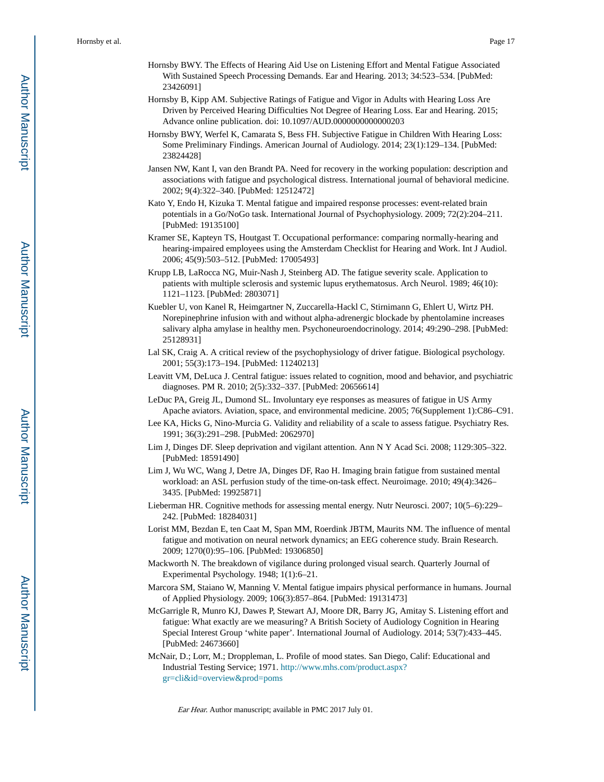- Hornsby BWY. The Effects of Hearing Aid Use on Listening Effort and Mental Fatigue Associated With Sustained Speech Processing Demands. Ear and Hearing. 2013; 34:523–534. [PubMed: 23426091]
- Hornsby B, Kipp AM. Subjective Ratings of Fatigue and Vigor in Adults with Hearing Loss Are Driven by Perceived Hearing Difficulties Not Degree of Hearing Loss. Ear and Hearing. 2015; Advance online publication. doi: 10.1097/AUD.0000000000000203
- Hornsby BWY, Werfel K, Camarata S, Bess FH. Subjective Fatigue in Children With Hearing Loss: Some Preliminary Findings. American Journal of Audiology. 2014; 23(1):129–134. [PubMed: 23824428]
- Jansen NW, Kant I, van den Brandt PA. Need for recovery in the working population: description and associations with fatigue and psychological distress. International journal of behavioral medicine. 2002; 9(4):322–340. [PubMed: 12512472]
- Kato Y, Endo H, Kizuka T. Mental fatigue and impaired response processes: event-related brain potentials in a Go/NoGo task. International Journal of Psychophysiology. 2009; 72(2):204–211. [PubMed: 19135100]
- Kramer SE, Kapteyn TS, Houtgast T. Occupational performance: comparing normally-hearing and hearing-impaired employees using the Amsterdam Checklist for Hearing and Work. Int J Audiol. 2006; 45(9):503–512. [PubMed: 17005493]
- Krupp LB, LaRocca NG, Muir-Nash J, Steinberg AD. The fatigue severity scale. Application to patients with multiple sclerosis and systemic lupus erythematosus. Arch Neurol. 1989; 46(10): 1121–1123. [PubMed: 2803071]
- Kuebler U, von Kanel R, Heimgartner N, Zuccarella-Hackl C, Stirnimann G, Ehlert U, Wirtz PH. Norepinephrine infusion with and without alpha-adrenergic blockade by phentolamine increases salivary alpha amylase in healthy men. Psychoneuroendocrinology. 2014; 49:290–298. [PubMed: 25128931]
- Lal SK, Craig A. A critical review of the psychophysiology of driver fatigue. Biological psychology. 2001; 55(3):173–194. [PubMed: 11240213]
- Leavitt VM, DeLuca J. Central fatigue: issues related to cognition, mood and behavior, and psychiatric diagnoses. PM R. 2010; 2(5):332–337. [PubMed: 20656614]
- LeDuc PA, Greig JL, Dumond SL. Involuntary eye responses as measures of fatigue in US Army Apache aviators. Aviation, space, and environmental medicine. 2005; 76(Supplement 1):C86–C91.
- Lee KA, Hicks G, Nino-Murcia G. Validity and reliability of a scale to assess fatigue. Psychiatry Res. 1991; 36(3):291–298. [PubMed: 2062970]
- Lim J, Dinges DF. Sleep deprivation and vigilant attention. Ann N Y Acad Sci. 2008; 1129:305–322. [PubMed: 18591490]
- Lim J, Wu WC, Wang J, Detre JA, Dinges DF, Rao H. Imaging brain fatigue from sustained mental workload: an ASL perfusion study of the time-on-task effect. Neuroimage. 2010; 49(4):3426– 3435. [PubMed: 19925871]
- Lieberman HR. Cognitive methods for assessing mental energy. Nutr Neurosci. 2007; 10(5–6):229– 242. [PubMed: 18284031]
- Lorist MM, Bezdan E, ten Caat M, Span MM, Roerdink JBTM, Maurits NM. The influence of mental fatigue and motivation on neural network dynamics; an EEG coherence study. Brain Research. 2009; 1270(0):95–106. [PubMed: 19306850]
- Mackworth N. The breakdown of vigilance during prolonged visual search. Quarterly Journal of Experimental Psychology. 1948; 1(1):6–21.
- Marcora SM, Staiano W, Manning V. Mental fatigue impairs physical performance in humans. Journal of Applied Physiology. 2009; 106(3):857–864. [PubMed: 19131473]
- McGarrigle R, Munro KJ, Dawes P, Stewart AJ, Moore DR, Barry JG, Amitay S. Listening effort and fatigue: What exactly are we measuring? A British Society of Audiology Cognition in Hearing Special Interest Group 'white paper'. International Journal of Audiology. 2014; 53(7):433–445. [PubMed: 24673660]
- McNair, D.; Lorr, M.; Droppleman, L. Profile of mood states. San Diego, Calif: Educational and Industrial Testing Service; 1971. [http://www.mhs.com/product.aspx?](http://www.mhs.com/product.aspx?gr=cli&id=overview&prod=poms) [gr=cli&id=overview&prod=poms](http://www.mhs.com/product.aspx?gr=cli&id=overview&prod=poms)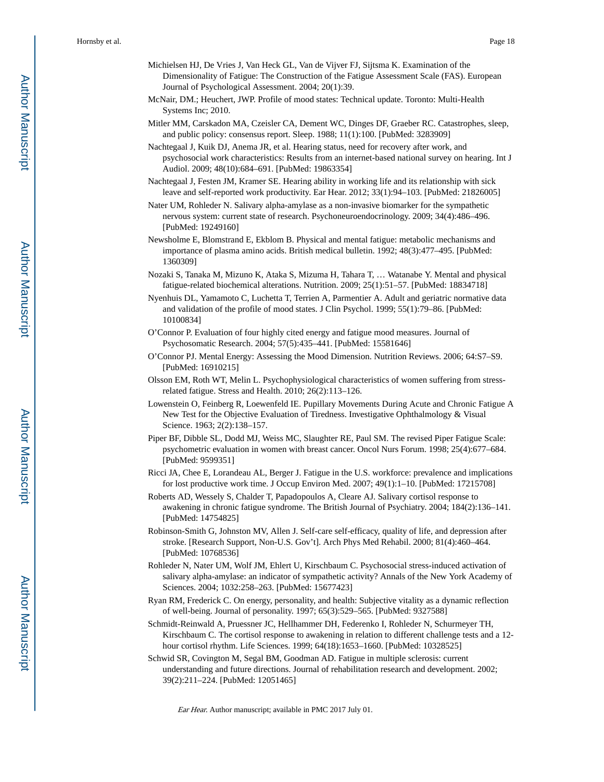- Michielsen HJ, De Vries J, Van Heck GL, Van de Vijver FJ, Sijtsma K. Examination of the Dimensionality of Fatigue: The Construction of the Fatigue Assessment Scale (FAS). European Journal of Psychological Assessment. 2004; 20(1):39.
- McNair, DM.; Heuchert, JWP. Profile of mood states: Technical update. Toronto: Multi-Health Systems Inc; 2010.
- Mitler MM, Carskadon MA, Czeisler CA, Dement WC, Dinges DF, Graeber RC. Catastrophes, sleep, and public policy: consensus report. Sleep. 1988; 11(1):100. [PubMed: 3283909]
- Nachtegaal J, Kuik DJ, Anema JR, et al. Hearing status, need for recovery after work, and psychosocial work characteristics: Results from an internet-based national survey on hearing. Int J Audiol. 2009; 48(10):684–691. [PubMed: 19863354]
- Nachtegaal J, Festen JM, Kramer SE. Hearing ability in working life and its relationship with sick leave and self-reported work productivity. Ear Hear. 2012; 33(1):94–103. [PubMed: 21826005]
- Nater UM, Rohleder N. Salivary alpha-amylase as a non-invasive biomarker for the sympathetic nervous system: current state of research. Psychoneuroendocrinology. 2009; 34(4):486–496. [PubMed: 19249160]
- Newsholme E, Blomstrand E, Ekblom B. Physical and mental fatigue: metabolic mechanisms and importance of plasma amino acids. British medical bulletin. 1992; 48(3):477–495. [PubMed: 1360309]
- Nozaki S, Tanaka M, Mizuno K, Ataka S, Mizuma H, Tahara T, … Watanabe Y. Mental and physical fatigue-related biochemical alterations. Nutrition. 2009; 25(1):51–57. [PubMed: 18834718]
- Nyenhuis DL, Yamamoto C, Luchetta T, Terrien A, Parmentier A. Adult and geriatric normative data and validation of the profile of mood states. J Clin Psychol. 1999; 55(1):79–86. [PubMed: 10100834]
- O'Connor P. Evaluation of four highly cited energy and fatigue mood measures. Journal of Psychosomatic Research. 2004; 57(5):435–441. [PubMed: 15581646]
- O'Connor PJ. Mental Energy: Assessing the Mood Dimension. Nutrition Reviews. 2006; 64:S7–S9. [PubMed: 16910215]
- Olsson EM, Roth WT, Melin L. Psychophysiological characteristics of women suffering from stressrelated fatigue. Stress and Health. 2010; 26(2):113–126.
- Lowenstein O, Feinberg R, Loewenfeld IE. Pupillary Movements During Acute and Chronic Fatigue A New Test for the Objective Evaluation of Tiredness. Investigative Ophthalmology & Visual Science. 1963; 2(2):138–157.
- Piper BF, Dibble SL, Dodd MJ, Weiss MC, Slaughter RE, Paul SM. The revised Piper Fatigue Scale: psychometric evaluation in women with breast cancer. Oncol Nurs Forum. 1998; 25(4):677–684. [PubMed: 9599351]
- Ricci JA, Chee E, Lorandeau AL, Berger J. Fatigue in the U.S. workforce: prevalence and implications for lost productive work time. J Occup Environ Med. 2007; 49(1):1–10. [PubMed: 17215708]
- Roberts AD, Wessely S, Chalder T, Papadopoulos A, Cleare AJ. Salivary cortisol response to awakening in chronic fatigue syndrome. The British Journal of Psychiatry. 2004; 184(2):136–141. [PubMed: 14754825]
- Robinson-Smith G, Johnston MV, Allen J. Self-care self-efficacy, quality of life, and depression after stroke. [Research Support, Non-U.S. Gov't]. Arch Phys Med Rehabil. 2000; 81(4):460–464. [PubMed: 10768536]
- Rohleder N, Nater UM, Wolf JM, Ehlert U, Kirschbaum C. Psychosocial stress-induced activation of salivary alpha-amylase: an indicator of sympathetic activity? Annals of the New York Academy of Sciences. 2004; 1032:258–263. [PubMed: 15677423]
- Ryan RM, Frederick C. On energy, personality, and health: Subjective vitality as a dynamic reflection of well-being. Journal of personality. 1997; 65(3):529–565. [PubMed: 9327588]
- Schmidt-Reinwald A, Pruessner JC, Hellhammer DH, Federenko I, Rohleder N, Schurmeyer TH, Kirschbaum C. The cortisol response to awakening in relation to different challenge tests and a 12 hour cortisol rhythm. Life Sciences. 1999; 64(18):1653–1660. [PubMed: 10328525]
- Schwid SR, Covington M, Segal BM, Goodman AD. Fatigue in multiple sclerosis: current understanding and future directions. Journal of rehabilitation research and development. 2002; 39(2):211–224. [PubMed: 12051465]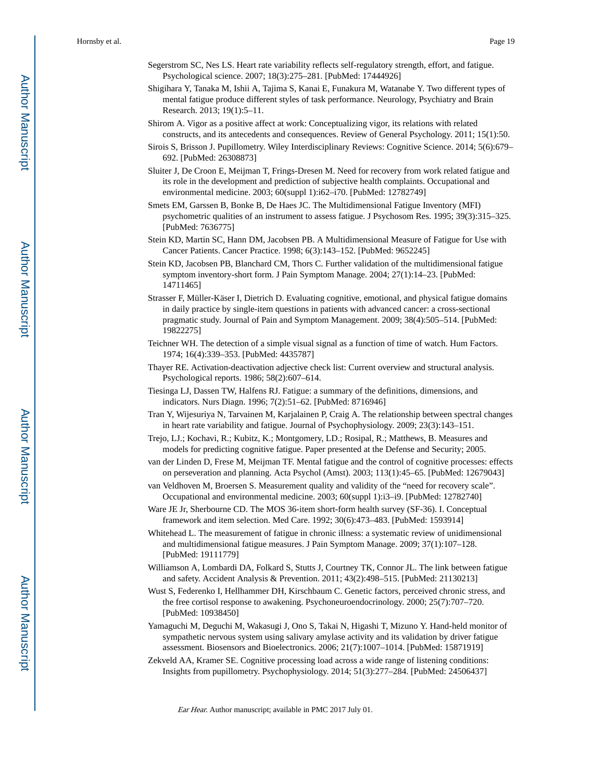- Segerstrom SC, Nes LS. Heart rate variability reflects self-regulatory strength, effort, and fatigue. Psychological science. 2007; 18(3):275–281. [PubMed: 17444926]
- Shigihara Y, Tanaka M, Ishii A, Tajima S, Kanai E, Funakura M, Watanabe Y. Two different types of mental fatigue produce different styles of task performance. Neurology, Psychiatry and Brain Research. 2013; 19(1):5–11.
- Shirom A. Vigor as a positive affect at work: Conceptualizing vigor, its relations with related constructs, and its antecedents and consequences. Review of General Psychology. 2011; 15(1):50.
- Sirois S, Brisson J. Pupillometry. Wiley Interdisciplinary Reviews: Cognitive Science. 2014; 5(6):679– 692. [PubMed: 26308873]
- Sluiter J, De Croon E, Meijman T, Frings-Dresen M. Need for recovery from work related fatigue and its role in the development and prediction of subjective health complaints. Occupational and environmental medicine. 2003; 60(suppl 1):i62–i70. [PubMed: 12782749]
- Smets EM, Garssen B, Bonke B, De Haes JC. The Multidimensional Fatigue Inventory (MFI) psychometric qualities of an instrument to assess fatigue. J Psychosom Res. 1995; 39(3):315–325. [PubMed: 7636775]
- Stein KD, Martin SC, Hann DM, Jacobsen PB. A Multidimensional Measure of Fatigue for Use with Cancer Patients. Cancer Practice. 1998; 6(3):143–152. [PubMed: 9652245]
- Stein KD, Jacobsen PB, Blanchard CM, Thors C. Further validation of the multidimensional fatigue symptom inventory-short form. J Pain Symptom Manage. 2004; 27(1):14–23. [PubMed: 14711465]
- Strasser F, Müller-Käser I, Dietrich D. Evaluating cognitive, emotional, and physical fatigue domains in daily practice by single-item questions in patients with advanced cancer: a cross-sectional pragmatic study. Journal of Pain and Symptom Management. 2009; 38(4):505–514. [PubMed: 19822275]
- Teichner WH. The detection of a simple visual signal as a function of time of watch. Hum Factors. 1974; 16(4):339–353. [PubMed: 4435787]
- Thayer RE. Activation-deactivation adjective check list: Current overview and structural analysis. Psychological reports. 1986; 58(2):607–614.
- Tiesinga LJ, Dassen TW, Halfens RJ. Fatigue: a summary of the definitions, dimensions, and indicators. Nurs Diagn. 1996; 7(2):51–62. [PubMed: 8716946]
- Tran Y, Wijesuriya N, Tarvainen M, Karjalainen P, Craig A. The relationship between spectral changes in heart rate variability and fatigue. Journal of Psychophysiology. 2009; 23(3):143–151.
- Trejo, LJ.; Kochavi, R.; Kubitz, K.; Montgomery, LD.; Rosipal, R.; Matthews, B. Measures and models for predicting cognitive fatigue. Paper presented at the Defense and Security; 2005.
- van der Linden D, Frese M, Meijman TF. Mental fatigue and the control of cognitive processes: effects on perseveration and planning. Acta Psychol (Amst). 2003; 113(1):45–65. [PubMed: 12679043]
- van Veldhoven M, Broersen S. Measurement quality and validity of the "need for recovery scale". Occupational and environmental medicine. 2003; 60(suppl 1):i3–i9. [PubMed: 12782740]
- Ware JE Jr, Sherbourne CD. The MOS 36-item short-form health survey (SF-36). I. Conceptual framework and item selection. Med Care. 1992; 30(6):473–483. [PubMed: 1593914]
- Whitehead L. The measurement of fatigue in chronic illness: a systematic review of unidimensional and multidimensional fatigue measures. J Pain Symptom Manage. 2009; 37(1):107–128. [PubMed: 19111779]
- Williamson A, Lombardi DA, Folkard S, Stutts J, Courtney TK, Connor JL. The link between fatigue and safety. Accident Analysis & Prevention. 2011; 43(2):498–515. [PubMed: 21130213]
- Wust S, Federenko I, Hellhammer DH, Kirschbaum C. Genetic factors, perceived chronic stress, and the free cortisol response to awakening. Psychoneuroendocrinology. 2000; 25(7):707–720. [PubMed: 10938450]
- Yamaguchi M, Deguchi M, Wakasugi J, Ono S, Takai N, Higashi T, Mizuno Y. Hand-held monitor of sympathetic nervous system using salivary amylase activity and its validation by driver fatigue assessment. Biosensors and Bioelectronics. 2006; 21(7):1007–1014. [PubMed: 15871919]
- Zekveld AA, Kramer SE. Cognitive processing load across a wide range of listening conditions: Insights from pupillometry. Psychophysiology. 2014; 51(3):277–284. [PubMed: 24506437]

Author Manuscript

Author Manuscript